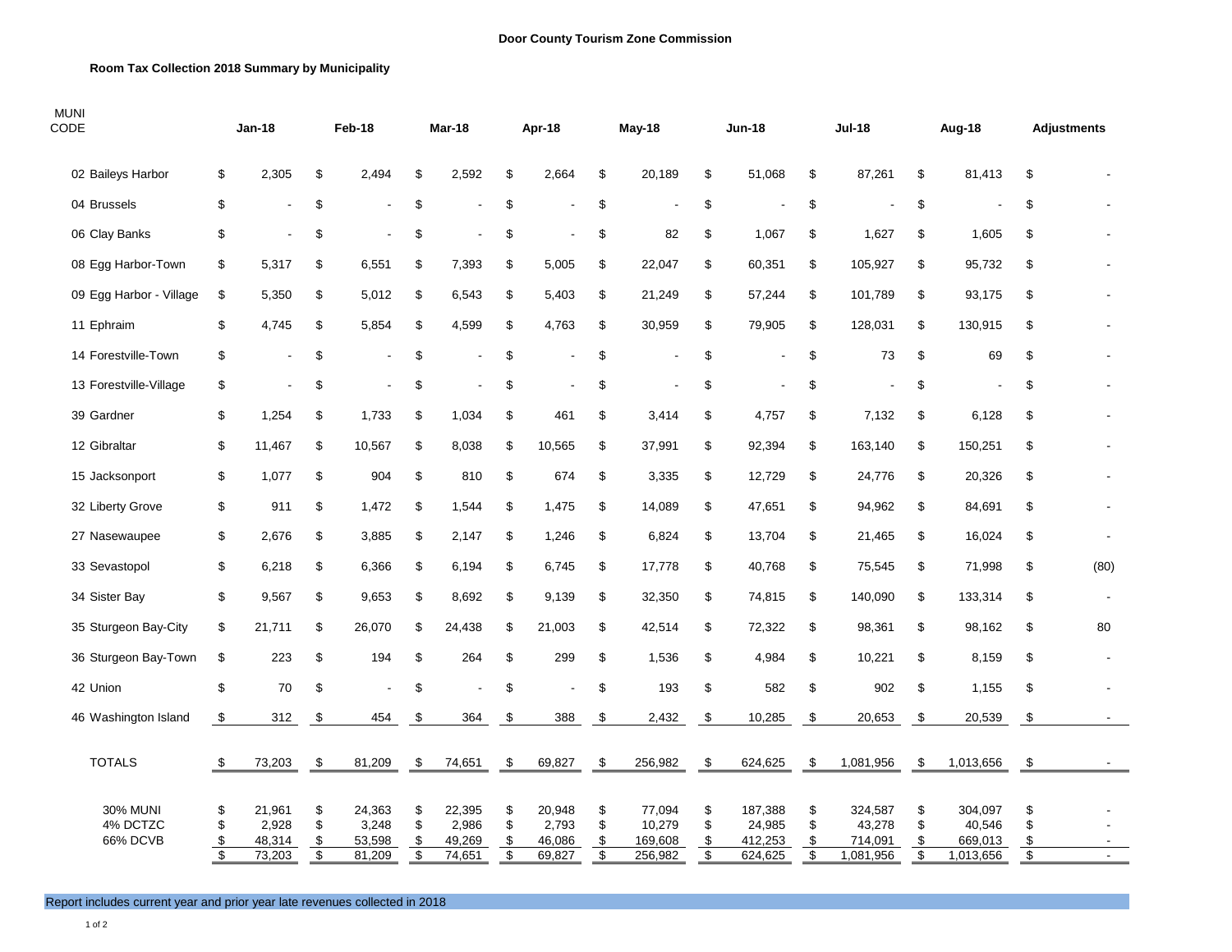## **Room Tax Collection 2018 Summary by Municipality**

| <b>MUNI</b><br><b>CODE</b>              |                                                     | $Jan-18$                            |                                                               | Feb-18                              |                      | Mar-18                              |                                           | Apr-18                              |                                 | May-18                                 |                                                      | Jun-18                                  |                      | <b>Jul-18</b>                             |                      | Aug-18                                    |                                                    | <b>Adjustments</b> |
|-----------------------------------------|-----------------------------------------------------|-------------------------------------|---------------------------------------------------------------|-------------------------------------|----------------------|-------------------------------------|-------------------------------------------|-------------------------------------|---------------------------------|----------------------------------------|------------------------------------------------------|-----------------------------------------|----------------------|-------------------------------------------|----------------------|-------------------------------------------|----------------------------------------------------|--------------------|
| 02 Baileys Harbor                       | \$                                                  | 2,305                               | \$                                                            | 2,494                               | \$                   | 2,592                               | \$                                        | 2,664                               | \$                              | 20,189                                 | \$                                                   | 51,068                                  | \$                   | 87,261                                    | \$                   | 81,413                                    | \$                                                 |                    |
| 04 Brussels                             | \$                                                  |                                     | \$                                                            |                                     | \$                   |                                     | \$                                        |                                     | \$                              |                                        | \$                                                   |                                         | \$                   |                                           | \$                   |                                           | \$                                                 |                    |
| 06 Clay Banks                           | \$                                                  |                                     | \$                                                            | $\blacksquare$                      | \$                   |                                     | \$                                        |                                     | \$                              | 82                                     | \$                                                   | 1,067                                   | \$                   | 1,627                                     | \$                   | 1,605                                     | \$                                                 |                    |
| 08 Egg Harbor-Town                      | \$                                                  | 5,317                               | \$                                                            | 6,551                               | \$                   | 7,393                               | \$                                        | 5,005                               | \$                              | 22,047                                 | \$                                                   | 60,351                                  | \$                   | 105,927                                   | \$                   | 95,732                                    | \$                                                 |                    |
| 09 Egg Harbor - Village                 | \$                                                  | 5,350                               | \$                                                            | 5,012                               | \$                   | 6,543                               | \$                                        | 5,403                               | \$                              | 21,249                                 | \$                                                   | 57,244                                  | \$                   | 101,789                                   | \$                   | 93,175                                    | \$                                                 |                    |
| 11 Ephraim                              | \$                                                  | 4,745                               | \$                                                            | 5,854                               | \$                   | 4,599                               | \$                                        | 4,763                               | \$                              | 30,959                                 | \$                                                   | 79,905                                  | \$                   | 128,031                                   | \$                   | 130,915                                   | \$                                                 |                    |
| 14 Forestville-Town                     | \$                                                  |                                     | \$                                                            | $\overline{a}$                      | \$                   |                                     | \$                                        | ä,                                  | \$                              |                                        | \$                                                   | $\blacksquare$                          | \$                   | 73                                        | \$                   | 69                                        | \$                                                 |                    |
| 13 Forestville-Village                  | \$                                                  |                                     | \$                                                            | $\overline{a}$                      | \$                   |                                     | \$                                        |                                     | \$                              |                                        | \$                                                   | $\blacksquare$                          | \$                   |                                           | \$                   |                                           | \$                                                 |                    |
| 39 Gardner                              | \$                                                  | 1,254                               | \$                                                            | 1,733                               | \$                   | 1,034                               | \$                                        | 461                                 | \$                              | 3,414                                  | \$                                                   | 4,757                                   | \$                   | 7,132                                     | \$                   | 6,128                                     | \$                                                 |                    |
| 12 Gibraltar                            | \$                                                  | 11,467                              | \$                                                            | 10,567                              | \$                   | 8,038                               | \$                                        | 10,565                              | \$                              | 37,991                                 | \$                                                   | 92,394                                  | \$                   | 163,140                                   | \$                   | 150,251                                   | \$                                                 |                    |
| 15 Jacksonport                          | \$                                                  | 1,077                               | \$                                                            | 904                                 | \$                   | 810                                 | \$                                        | 674                                 | \$                              | 3,335                                  | \$                                                   | 12,729                                  | \$                   | 24,776                                    | \$                   | 20,326                                    | \$                                                 |                    |
| 32 Liberty Grove                        | \$                                                  | 911                                 | \$                                                            | 1,472                               | \$                   | 1,544                               | \$                                        | 1,475                               | \$                              | 14,089                                 | \$                                                   | 47,651                                  | \$                   | 94,962                                    | \$                   | 84,691                                    | \$                                                 |                    |
| 27 Nasewaupee                           | \$                                                  | 2,676                               | \$                                                            | 3,885                               | \$                   | 2,147                               | \$                                        | 1,246                               | \$                              | 6,824                                  | \$                                                   | 13,704                                  | \$                   | 21,465                                    | \$                   | 16,024                                    | \$                                                 |                    |
| 33 Sevastopol                           | \$                                                  | 6,218                               | \$                                                            | 6,366                               | \$                   | 6,194                               | \$                                        | 6,745                               | \$                              | 17,778                                 | \$                                                   | 40,768                                  | \$                   | 75,545                                    | \$                   | 71,998                                    | \$                                                 | (80)               |
| 34 Sister Bay                           | \$                                                  | 9,567                               | \$                                                            | 9,653                               | \$                   | 8,692                               | \$                                        | 9,139                               | \$                              | 32,350                                 | \$                                                   | 74,815                                  | \$                   | 140,090                                   | \$                   | 133,314                                   | \$                                                 |                    |
| 35 Sturgeon Bay-City                    | \$                                                  | 21,711                              | \$                                                            | 26,070                              | \$                   | 24,438                              | \$                                        | 21,003                              | \$                              | 42,514                                 | \$                                                   | 72,322                                  | \$                   | 98,361                                    | \$                   | 98,162                                    | \$                                                 | 80                 |
| 36 Sturgeon Bay-Town                    | \$                                                  | 223                                 | \$                                                            | 194                                 | \$                   | 264                                 | \$                                        | 299                                 | \$                              | 1,536                                  | \$                                                   | 4,984                                   | \$                   | 10,221                                    | \$                   | 8,159                                     | \$                                                 |                    |
| 42 Union                                | \$                                                  | 70                                  | \$                                                            | $\blacksquare$                      | \$                   |                                     | \$                                        |                                     | \$                              | 193                                    | \$                                                   | 582                                     | \$                   | 902                                       | \$                   | 1,155                                     | \$                                                 |                    |
| 46 Washington Island                    | $\frac{1}{2}$                                       | 312                                 | -\$                                                           | 454                                 | \$                   | 364                                 | $\frac{1}{2}$                             | 388                                 | $\frac{1}{2}$                   | 2,432                                  | \$                                                   | 10,285                                  | $\frac{3}{2}$        | 20,653                                    | $\sqrt{3}$           | 20,539                                    | $\frac{1}{2}$                                      |                    |
| <b>TOTALS</b>                           | - \$                                                | 73,203                              | - \$                                                          | 81,209                              | \$                   | 74,651                              | \$                                        | 69,827                              | \$                              | 256,982                                | \$                                                   | 624,625                                 | \$                   | 1,081,956                                 | \$                   | 1,013,656                                 | \$                                                 |                    |
| <b>30% MUNI</b><br>4% DCTZC<br>66% DCVB | S<br>\$<br>$\frac{1}{2}$<br>$\overline{\mathbf{s}}$ | 21,961<br>2,928<br>48,314<br>73,203 | \$<br>\$<br>$\frac{1}{2}$<br>$\overline{\boldsymbol{\theta}}$ | 24,363<br>3,248<br>53,598<br>81,209 | \$<br>\$<br>\$<br>\$ | 22,395<br>2,986<br>49,269<br>74,651 | \$<br>\$<br>\$<br>$\overline{\mathbf{e}}$ | 20,948<br>2,793<br>46,086<br>69,827 | \$<br>\$<br>$\frac{1}{2}$<br>\$ | 77,094<br>10,279<br>169,608<br>256,982 | \$<br>\$<br>$\frac{1}{2}$<br>$\overline{\mathbf{s}}$ | 187,388<br>24,985<br>412,253<br>624,625 | \$<br>\$<br>\$<br>\$ | 324,587<br>43,278<br>714,091<br>1,081,956 | \$<br>\$<br>\$<br>\$ | 304,097<br>40,546<br>669,013<br>1,013,656 | \$<br>\$<br>\$<br>$\overline{\boldsymbol{\theta}}$ | $\sim$             |